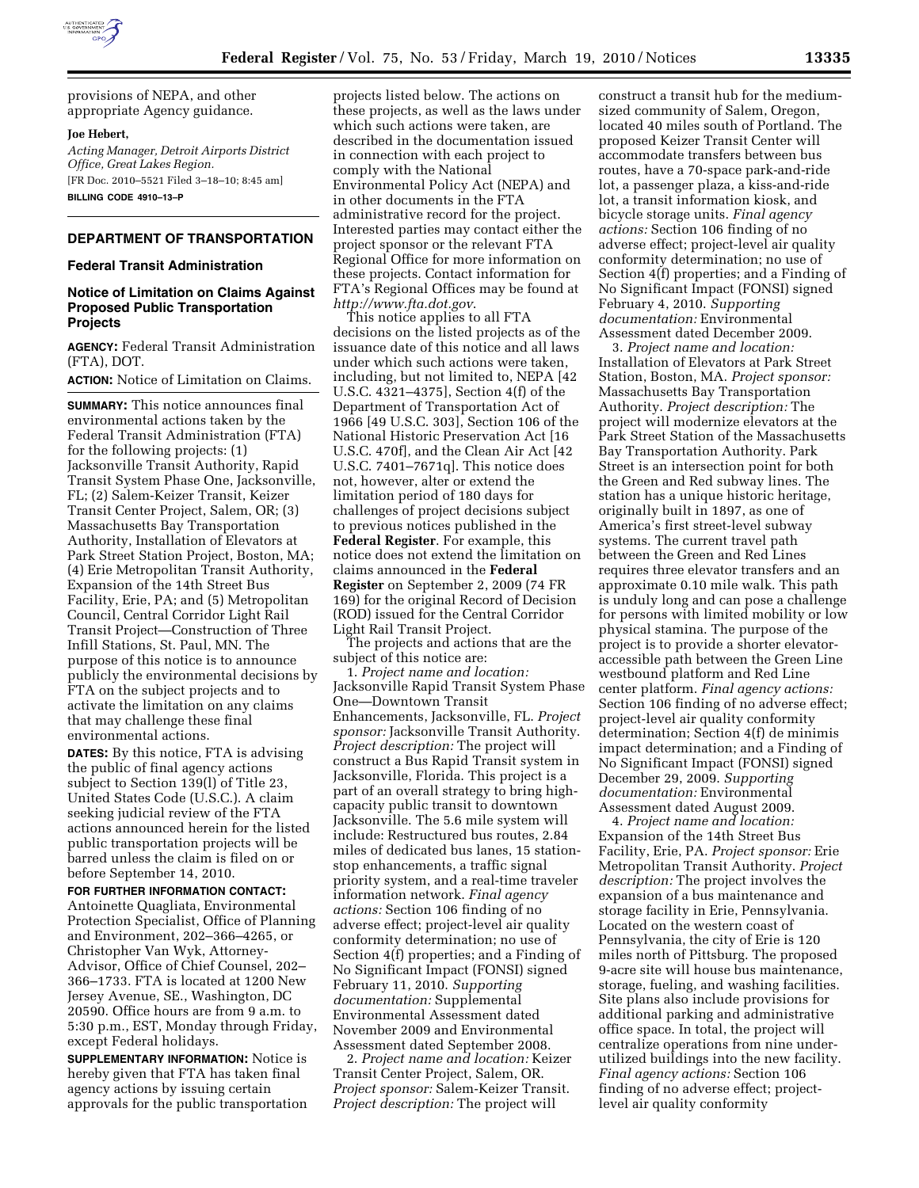

provisions of NEPA, and other appropriate Agency guidance.

#### **Joe Hebert,**

*Acting Manager, Detroit Airports District Office, Great Lakes Region.*  [FR Doc. 2010–5521 Filed 3–18–10; 8:45 am]

**BILLING CODE 4910–13–P** 

### **DEPARTMENT OF TRANSPORTATION**

#### **Federal Transit Administration**

### **Notice of Limitation on Claims Against Proposed Public Transportation Projects**

**AGENCY:** Federal Transit Administration (FTA), DOT.

**ACTION:** Notice of Limitation on Claims.

**SUMMARY:** This notice announces final environmental actions taken by the Federal Transit Administration (FTA) for the following projects: (1) Jacksonville Transit Authority, Rapid Transit System Phase One, Jacksonville, FL; (2) Salem-Keizer Transit, Keizer Transit Center Project, Salem, OR; (3) Massachusetts Bay Transportation Authority, Installation of Elevators at Park Street Station Project, Boston, MA; (4) Erie Metropolitan Transit Authority, Expansion of the 14th Street Bus Facility, Erie, PA; and (5) Metropolitan Council, Central Corridor Light Rail Transit Project—Construction of Three Infill Stations, St. Paul, MN. The purpose of this notice is to announce publicly the environmental decisions by FTA on the subject projects and to activate the limitation on any claims that may challenge these final environmental actions.

**DATES:** By this notice, FTA is advising the public of final agency actions subject to Section 139(l) of Title 23, United States Code (U.S.C.). A claim seeking judicial review of the FTA actions announced herein for the listed public transportation projects will be barred unless the claim is filed on or before September 14, 2010.

**FOR FURTHER INFORMATION CONTACT:**  Antoinette Quagliata, Environmental Protection Specialist, Office of Planning and Environment, 202–366–4265, or Christopher Van Wyk, Attorney-Advisor, Office of Chief Counsel, 202– 366–1733. FTA is located at 1200 New Jersey Avenue, SE., Washington, DC 20590. Office hours are from 9 a.m. to 5:30 p.m., EST, Monday through Friday, except Federal holidays.

**SUPPLEMENTARY INFORMATION:** Notice is hereby given that FTA has taken final agency actions by issuing certain approvals for the public transportation projects listed below. The actions on these projects, as well as the laws under which such actions were taken, are described in the documentation issued in connection with each project to comply with the National Environmental Policy Act (NEPA) and in other documents in the FTA administrative record for the project. Interested parties may contact either the project sponsor or the relevant FTA Regional Office for more information on these projects. Contact information for FTA's Regional Offices may be found at *http://www.fta.dot.gov*.

This notice applies to all FTA decisions on the listed projects as of the issuance date of this notice and all laws under which such actions were taken, including, but not limited to, NEPA [42 U.S.C. 4321–4375], Section 4(f) of the Department of Transportation Act of 1966 [49 U.S.C. 303], Section 106 of the National Historic Preservation Act [16 U.S.C. 470f], and the Clean Air Act [42 U.S.C. 7401–7671q]. This notice does not, however, alter or extend the limitation period of 180 days for challenges of project decisions subject to previous notices published in the **Federal Register**. For example, this notice does not extend the limitation on claims announced in the **Federal Register** on September 2, 2009 (74 FR 169) for the original Record of Decision (ROD) issued for the Central Corridor Light Rail Transit Project.

The projects and actions that are the subject of this notice are:

1. *Project name and location:*  Jacksonville Rapid Transit System Phase One—Downtown Transit Enhancements, Jacksonville, FL. *Project sponsor:* Jacksonville Transit Authority. *Project description:* The project will construct a Bus Rapid Transit system in Jacksonville, Florida. This project is a part of an overall strategy to bring highcapacity public transit to downtown Jacksonville. The 5.6 mile system will include: Restructured bus routes, 2.84 miles of dedicated bus lanes, 15 stationstop enhancements, a traffic signal priority system, and a real-time traveler information network. *Final agency actions:* Section 106 finding of no adverse effect; project-level air quality conformity determination; no use of Section 4(f) properties; and a Finding of No Significant Impact (FONSI) signed February 11, 2010. *Supporting documentation:* Supplemental Environmental Assessment dated November 2009 and Environmental Assessment dated September 2008.

2. *Project name and location:* Keizer Transit Center Project, Salem, OR. *Project sponsor:* Salem-Keizer Transit. *Project description:* The project will

construct a transit hub for the mediumsized community of Salem, Oregon, located 40 miles south of Portland. The proposed Keizer Transit Center will accommodate transfers between bus routes, have a 70-space park-and-ride lot, a passenger plaza, a kiss-and-ride lot, a transit information kiosk, and bicycle storage units. *Final agency actions:* Section 106 finding of no adverse effect; project-level air quality conformity determination; no use of Section 4(f) properties; and a Finding of No Significant Impact (FONSI) signed February 4, 2010. *Supporting documentation:* Environmental Assessment dated December 2009.

3. *Project name and location:*  Installation of Elevators at Park Street Station, Boston, MA. *Project sponsor:*  Massachusetts Bay Transportation Authority. *Project description:* The project will modernize elevators at the Park Street Station of the Massachusetts Bay Transportation Authority. Park Street is an intersection point for both the Green and Red subway lines. The station has a unique historic heritage, originally built in 1897, as one of America's first street-level subway systems. The current travel path between the Green and Red Lines requires three elevator transfers and an approximate 0.10 mile walk. This path is unduly long and can pose a challenge for persons with limited mobility or low physical stamina. The purpose of the project is to provide a shorter elevatoraccessible path between the Green Line westbound platform and Red Line center platform. *Final agency actions:*  Section 106 finding of no adverse effect; project-level air quality conformity determination; Section 4(f) de minimis impact determination; and a Finding of No Significant Impact (FONSI) signed December 29, 2009. *Supporting documentation:* Environmental Assessment dated August 2009.

4. *Project name and location:*  Expansion of the 14th Street Bus Facility, Erie, PA. *Project sponsor:* Erie Metropolitan Transit Authority. *Project description:* The project involves the expansion of a bus maintenance and storage facility in Erie, Pennsylvania. Located on the western coast of Pennsylvania, the city of Erie is 120 miles north of Pittsburg. The proposed 9-acre site will house bus maintenance, storage, fueling, and washing facilities. Site plans also include provisions for additional parking and administrative office space. In total, the project will centralize operations from nine underutilized buildings into the new facility. *Final agency actions:* Section 106 finding of no adverse effect; projectlevel air quality conformity